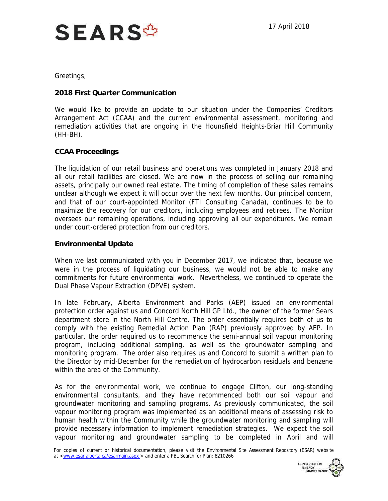

Greetings,

## **2018 First Quarter Communication**

 We would like to provide an update to our situation under the Companies' Creditors Arrangement Act (CCAA) and the current environmental assessment, monitoring and remediation activities that are ongoing in the Hounsfield Heights-Briar Hill Community (HH-BH).

## **CCAA Proceedings**

 The liquidation of our retail business and operations was completed in January 2018 and all our retail facilities are closed. We are now in the process of selling our remaining assets, principally our owned real estate. The timing of completion of these sales remains unclear although we expect it will occur over the next few months. Our principal concern, and that of our court-appointed Monitor (FTI Consulting Canada), continues to be to maximize the recovery for our creditors, including employees and retirees. The Monitor oversees our remaining operations, including approving all our expenditures. We remain under court-ordered protection from our creditors.

## **Environmental Update**

 When we last communicated with you in December 2017, we indicated that, because we were in the process of liquidating our business, we would not be able to make any commitments for future environmental work. Nevertheless, we continued to operate the Dual Phase Vapour Extraction (DPVE) system.

 In late February, Alberta Environment and Parks (AEP) issued an environmental protection order against us and Concord North Hill GP Ltd., the owner of the former Sears department store in the North Hill Centre. The order essentially requires both of us to comply with the existing Remedial Action Plan (RAP) previously approved by AEP. In particular, the order required us to recommence the semi-annual soil vapour monitoring program, including additional sampling, as well as the groundwater sampling and monitoring program. The order also requires us and Concord to submit a written plan to the Director by mid-December for the remediation of hydrocarbon residuals and benzene within the area of the Community.

 As for the environmental work, we continue to engage Clifton, our long-standing groundwater monitoring and sampling programs. As previously communicated, the soil vapour monitoring program was implemented as an additional means of assessing risk to provide necessary information to implement remediation strategies. We expect the soil vapour monitoring and groundwater sampling to be completed in April and will environmental consultants, and they have recommenced both our soil vapour and human health within the Community while the groundwater monitoring and sampling will

For copies of current or historical documentation, please visit the Environmental Site Assessment Repository (ESAR) website at [<www.esar.alberta.ca/esarmain.aspx](www.esar.alberta.ca/esarmain.aspx) > and enter a PBL Search for Plan: 8210266